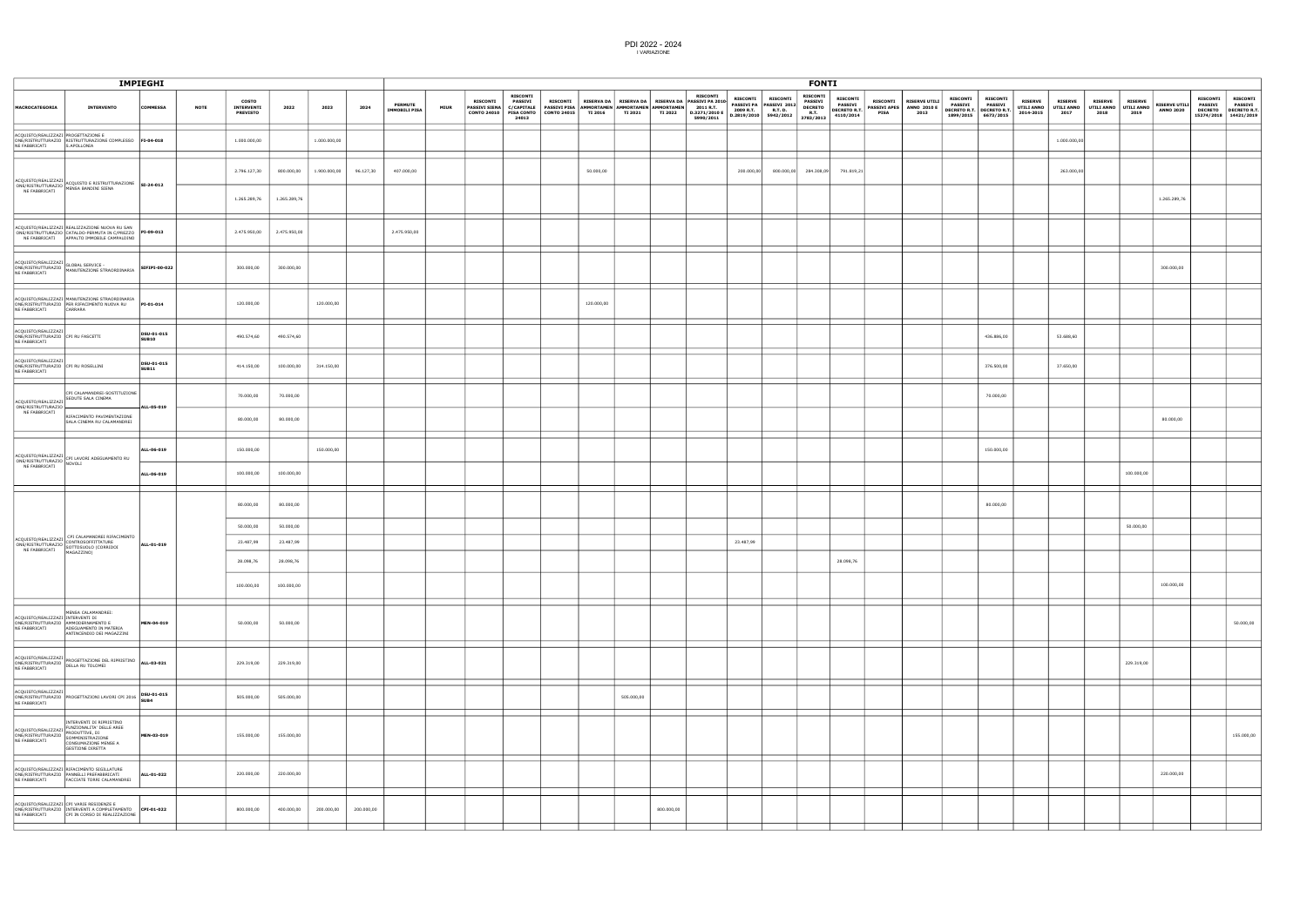|                                                                                                               |                                                                                                                                                         | IMPIEGHI                   |             |                                               |              |              |            |                                        |             |                                                                          |                                                                 |                                                                                                                                                                                                                                                                                             |            |                                            | <b>FONTI</b>                                                |                                                                                     |                                                                                              |                                                                             |                                                |                                                      |                                                  |                                                                                                                                                                                                                                            |
|---------------------------------------------------------------------------------------------------------------|---------------------------------------------------------------------------------------------------------------------------------------------------------|----------------------------|-------------|-----------------------------------------------|--------------|--------------|------------|----------------------------------------|-------------|--------------------------------------------------------------------------|-----------------------------------------------------------------|---------------------------------------------------------------------------------------------------------------------------------------------------------------------------------------------------------------------------------------------------------------------------------------------|------------|--------------------------------------------|-------------------------------------------------------------|-------------------------------------------------------------------------------------|----------------------------------------------------------------------------------------------|-----------------------------------------------------------------------------|------------------------------------------------|------------------------------------------------------|--------------------------------------------------|--------------------------------------------------------------------------------------------------------------------------------------------------------------------------------------------------------------------------------------------|
| <b>MACROCATEGORIA</b>                                                                                         | <b>INTERVENTO</b>                                                                                                                                       | COMMESSA                   | <b>NOTE</b> | <b>COSTO</b><br>INTERVENTI<br><b>PREVISTO</b> | 2022         | 2023         | 2024       | <b>PERMUTE</b><br><b>IMMOBILI PISA</b> | <b>MIUR</b> | <b>RISCONTI</b><br><b>PASSIVI SIENA C/CAPITALE</b><br><b>CONTO 24010</b> | <b>RISCONTI</b><br><b>PASSIVI</b><br><b>PISA CONTO</b><br>24013 | <b>RISCONTI</b><br><b>RISCONTI</b><br>RISERVA DA   RISERVA DA   RISERVA DA   PASSIVI PA   PASSIVI PA   PASSIVI 2012<br>PASSIVI PISA AMMORTAMEN AMMORTAMEN AMMORTAMEN<br>2011 R.T.<br><b>CONTO 24015</b><br><b>TI 2016</b><br><b>TI 2021</b><br><b>TI 2022</b><br>D.3271/2010 E<br>5990/2011 |            | 2009 R.T. R.T. D.<br>D.2819/2010 5942/2012 | <b>RISCONTI</b><br>PASSIVI<br><b>DECRETO</b><br><b>R.T.</b> | <b>RISCONTI</b><br><b>PASSIVI</b><br><b>DECRETO R.T.</b><br>$3783/2013$ $4110/2014$ | <b>RISCONTI</b><br><b>RISERVE UTILI</b><br>PASSIVI APES   ANNO 2010 E<br><b>PISA</b><br>2013 | <b>RISCONTI</b><br><b>PASSIVI</b><br>DECRETO R.T. DECRETO R.T.<br>1899/2015 | <b>RISCONTI</b><br><b>PASSIVI</b><br>6673/2015 | <b>RISERVE</b><br>UTILI ANNO UTILI ANNO<br>2014-2015 | <b>RISERVE</b><br><b>RISERVE</b><br>2017<br>2018 | <b>RISCONTI</b><br><b>RISCONTI</b><br><b>RISERVE</b><br><b>RISERVE UTILI</b><br><b>PASSIVI</b><br><b>PASSIVI</b><br>UTILI ANNO UTILI ANNO<br><b>DECRETO R.T.</b><br><b>ANNO 2020</b><br><b>DECRETO</b><br>2019<br>15274/2018<br>14421/2019 |
| ACQUISTO/REALIZZAZI PROGETTAZIONE E<br>NE FABBRICATI                                                          | ONE/RISTRUTTURAZIO RISTRUTTURAZIONE COMPLESSO   FI-04-018<br>S.APOLLONIA                                                                                |                            |             | 1.000.000,00                                  |              | 1.000.000,00 |            |                                        |             |                                                                          |                                                                 |                                                                                                                                                                                                                                                                                             |            |                                            |                                                             |                                                                                     |                                                                                              |                                                                             |                                                |                                                      | 1.000.000,00                                     |                                                                                                                                                                                                                                            |
| ACQUISTO/REALIZZAZI                                                                                           | ACQUISTO/REALIZZAZI<br>ONE/RISTRUTTURAZIO ACQUISTO E RISTRUTTURAZIONE SI-24-012                                                                         |                            |             | 2.796.127,30                                  | 800.000,00   | 1.900.000,00 | 96.127,30  | 407.000,00                             |             |                                                                          |                                                                 | 50.000,00                                                                                                                                                                                                                                                                                   | 200.000,00 | 800.000,00                                 | 284.308,09                                                  | 791.819,21                                                                          |                                                                                              |                                                                             |                                                |                                                      | 263.000,0                                        |                                                                                                                                                                                                                                            |
| NE FABBRICATI                                                                                                 |                                                                                                                                                         |                            |             | 1.265.289,76                                  | 1.265.289,76 |              |            |                                        |             |                                                                          |                                                                 |                                                                                                                                                                                                                                                                                             |            |                                            |                                                             |                                                                                     |                                                                                              |                                                                             |                                                |                                                      |                                                  | 1.265.289,76                                                                                                                                                                                                                               |
|                                                                                                               | ACQUISTO/REALIZZAZI REALIZZAZIONE NUOVA RU SAN<br>ONE/RISTRUTTURAZIO CATALDO-PERMUTA IN C/PREZZO PI-09-013<br>NE FABBRICATI APPALTO IMMOBILE CAMPALDINO |                            |             | 2.475.950,00                                  | 2.475.950,00 |              |            | 2.475.950,00                           |             |                                                                          |                                                                 |                                                                                                                                                                                                                                                                                             |            |                                            |                                                             |                                                                                     |                                                                                              |                                                                             |                                                |                                                      |                                                  |                                                                                                                                                                                                                                            |
|                                                                                                               |                                                                                                                                                         |                            |             | 300.000,00                                    | 300.000,00   |              |            |                                        |             |                                                                          |                                                                 |                                                                                                                                                                                                                                                                                             |            |                                            |                                                             |                                                                                     |                                                                                              |                                                                             |                                                |                                                      |                                                  | 300.000,00                                                                                                                                                                                                                                 |
| NE FABBRICATI                                                                                                 | ACQUISTO/REALIZZAZI MANUTENZIONE STRAORDINARIA<br>ONE/RISTRUTTURAZIO PER RIFACIMENTO NUOVA RU<br>CARRARA                                                | PI-01-014                  |             | 120.000,00                                    |              | 120.000,00   |            |                                        |             |                                                                          |                                                                 | 120.000,00                                                                                                                                                                                                                                                                                  |            |                                            |                                                             |                                                                                     |                                                                                              |                                                                             |                                                |                                                      |                                                  |                                                                                                                                                                                                                                            |
| ACQUISTO/REALIZZAZI<br>ONE/RISTRUTTURAZIO CPI RU FASCETTI<br>NE FABBRICATI                                    |                                                                                                                                                         | DSU-01-015<br><b>SUB10</b> |             | 490.574,60                                    | 490.574,60   |              |            |                                        |             |                                                                          |                                                                 |                                                                                                                                                                                                                                                                                             |            |                                            |                                                             |                                                                                     |                                                                                              |                                                                             | 436.886,00                                     |                                                      | 53.688,60                                        |                                                                                                                                                                                                                                            |
| ACQUISTO/REALIZZAZI<br>ONE/RISTRUTTURAZIO CPI RU ROSELLINI<br>NE FABBRICATI                                   |                                                                                                                                                         | DSU-01-015<br><b>SUB11</b> |             | 414.150,00                                    | 100.000,00   | 314.150,00   |            |                                        |             |                                                                          |                                                                 |                                                                                                                                                                                                                                                                                             |            |                                            |                                                             |                                                                                     |                                                                                              |                                                                             | 376.500,00                                     |                                                      | 37.650,00                                        |                                                                                                                                                                                                                                            |
| ACQUISTO/REALIZZAZI<br>ONE/RISTRUTTURAZIO                                                                     | CPI CALAMANDREI-SOSTITUZIONE<br>SEDUTE SALA CINEMA                                                                                                      | ALL-05-019                 |             | 70.000,00                                     | 70.000,00    |              |            |                                        |             |                                                                          |                                                                 |                                                                                                                                                                                                                                                                                             |            |                                            |                                                             |                                                                                     |                                                                                              |                                                                             | 70.000,00                                      |                                                      |                                                  |                                                                                                                                                                                                                                            |
| NE FABBRICATI                                                                                                 | IFACIMENTO PAVIMENTAZIONE<br>SALA CINEMA RU CALAMANDREI                                                                                                 |                            |             | 80.000,00                                     | 80.000,00    |              |            |                                        |             |                                                                          |                                                                 |                                                                                                                                                                                                                                                                                             |            |                                            |                                                             |                                                                                     |                                                                                              |                                                                             |                                                |                                                      |                                                  | 80.000,00                                                                                                                                                                                                                                  |
| ACQUISTO/REALIZZAZI<br>NE FABBRICATI                                                                          | ACQUISTO/REALIZZAZI CPI LAVORI ADEGUAMENTO RU<br>ONE/RISTRUTTURAZIO NOVOLI<br>NE FARBRICATI NOVOLI                                                      | ALL-06-019                 |             | 150.000,00                                    |              | 150.000,00   |            |                                        |             |                                                                          |                                                                 |                                                                                                                                                                                                                                                                                             |            |                                            |                                                             |                                                                                     |                                                                                              |                                                                             | 150.000,00                                     |                                                      |                                                  |                                                                                                                                                                                                                                            |
|                                                                                                               |                                                                                                                                                         | ALL-06-019                 |             | 100.000,00                                    | 100.000,00   |              |            |                                        |             |                                                                          |                                                                 |                                                                                                                                                                                                                                                                                             |            |                                            |                                                             |                                                                                     |                                                                                              |                                                                             |                                                |                                                      |                                                  | 100.000,00                                                                                                                                                                                                                                 |
|                                                                                                               |                                                                                                                                                         |                            |             | 80.000,00                                     | 80.000,00    |              |            |                                        |             |                                                                          |                                                                 |                                                                                                                                                                                                                                                                                             |            |                                            |                                                             |                                                                                     |                                                                                              |                                                                             | 80.000,00                                      |                                                      |                                                  |                                                                                                                                                                                                                                            |
|                                                                                                               |                                                                                                                                                         |                            |             | 50.000,00                                     | 50.000,00    |              |            |                                        |             |                                                                          |                                                                 |                                                                                                                                                                                                                                                                                             |            |                                            |                                                             |                                                                                     |                                                                                              |                                                                             |                                                |                                                      |                                                  | 50.000,00                                                                                                                                                                                                                                  |
| NE FABBRICATI                                                                                                 | ACQUISTO/REALIZZAZI CPI CALAMANDREI RIFACIMENTO<br>ONE/RISTRUTTURAZIO CONTROSOFFITTATURE<br>NE FARRBICATI SOTTOSUOLO (CORRIDOI                          | ALL-01-019                 |             | 23.487,99                                     | 23.487,99    |              |            |                                        |             |                                                                          |                                                                 |                                                                                                                                                                                                                                                                                             | 23.487,99  |                                            |                                                             |                                                                                     |                                                                                              |                                                                             |                                                |                                                      |                                                  |                                                                                                                                                                                                                                            |
|                                                                                                               | MAGAZZINO)                                                                                                                                              |                            |             | 28.098,76                                     | 28.098,76    |              |            |                                        |             |                                                                          |                                                                 |                                                                                                                                                                                                                                                                                             |            |                                            |                                                             | 28.098,76                                                                           |                                                                                              |                                                                             |                                                |                                                      |                                                  |                                                                                                                                                                                                                                            |
|                                                                                                               |                                                                                                                                                         |                            |             | 100.000,00                                    | 100.000,00   |              |            |                                        |             |                                                                          |                                                                 |                                                                                                                                                                                                                                                                                             |            |                                            |                                                             |                                                                                     |                                                                                              |                                                                             |                                                |                                                      |                                                  | 100.000,00                                                                                                                                                                                                                                 |
| ACQUISTO/REALIZZAZI INTERVENTI DI<br>ONE/RISTRUTTURAZIO AMMODERNAMENTO E<br>NE FABBRICATI ADEGUAMENTO IN MATI | MENSA CALAMANDREI:<br>ADEGUAMENTO IN MATERIA<br>ANTINCENDIO DEI MAGAZZINI                                                                               | MEN-04-019                 |             | 50.000,00                                     | 50.000,00    |              |            |                                        |             |                                                                          |                                                                 |                                                                                                                                                                                                                                                                                             |            |                                            |                                                             |                                                                                     |                                                                                              |                                                                             |                                                |                                                      |                                                  | 50.000,00                                                                                                                                                                                                                                  |
|                                                                                                               | ACQUISTO/REALIZZAZI<br> ONE/RISTRUTTURAZIO  <br> NE FABBRICATI  <br> NE FABBRICATI                                                                      |                            |             | 229.319,00                                    | 229.319,00   |              |            |                                        |             |                                                                          |                                                                 |                                                                                                                                                                                                                                                                                             |            |                                            |                                                             |                                                                                     |                                                                                              |                                                                             |                                                |                                                      |                                                  | 229.319,00                                                                                                                                                                                                                                 |
| ACQUISTO/REALIZZAZI<br>NE FABBRICATI                                                                          | ACQUISTO/REALIZZAZI<br>ONE/RISTRUTTURAZIO PROGETTAZIONI LAVORI CPI 2016 SUB4                                                                            |                            |             | 505.000,00                                    | 505.000,00   |              |            |                                        |             |                                                                          |                                                                 | 505.000,00                                                                                                                                                                                                                                                                                  |            |                                            |                                                             |                                                                                     |                                                                                              |                                                                             |                                                |                                                      |                                                  |                                                                                                                                                                                                                                            |
| ONE/RISTRUTTURAZIO SOMMINISTRAZIONE<br>NE FABBRICATI                                                          | INTERVENTI DI RIPRISTINO<br>ACQUISTO/REALIZZAZI FUNZIONALITA' DELLE AREE<br>CONSUMAZIONE MENSE A<br><b>GESTIONE DIRETTA</b>                             | MEN-03-019                 |             | 155.000,00                                    | 155.000,00   |              |            |                                        |             |                                                                          |                                                                 |                                                                                                                                                                                                                                                                                             |            |                                            |                                                             |                                                                                     |                                                                                              |                                                                             |                                                |                                                      |                                                  | 155.000,00                                                                                                                                                                                                                                 |
|                                                                                                               | ACQUISTO/REALIZZAZI RIFACIMENTO SIGILLATURE<br>ONE/RISTRUTTURAZIO PANNELLI PREFABBRICATI<br>FACCIATE TORRI CALAMANDREI                                  | ALL-01-022                 |             | 220.000,00                                    | 220.000,00   |              |            |                                        |             |                                                                          |                                                                 |                                                                                                                                                                                                                                                                                             |            |                                            |                                                             |                                                                                     |                                                                                              |                                                                             |                                                |                                                      |                                                  | 220.000,00                                                                                                                                                                                                                                 |
| NE FABBRICATI                                                                                                 | ACQUISTO/REALIZZAZI CPI VARIE RESIDENZE E<br>ONE/RISTRUTTURAZIO INTERVENTI A COMPLETAMENTO CPI-01-022<br>CPI IN CORSO DI REALIZZAZIONE                  |                            |             | 800.000,00                                    | 400.000,00   | 200.000,00   | 200.000,00 |                                        |             |                                                                          |                                                                 | 800.000,00                                                                                                                                                                                                                                                                                  |            |                                            |                                                             |                                                                                     |                                                                                              |                                                                             |                                                |                                                      |                                                  |                                                                                                                                                                                                                                            |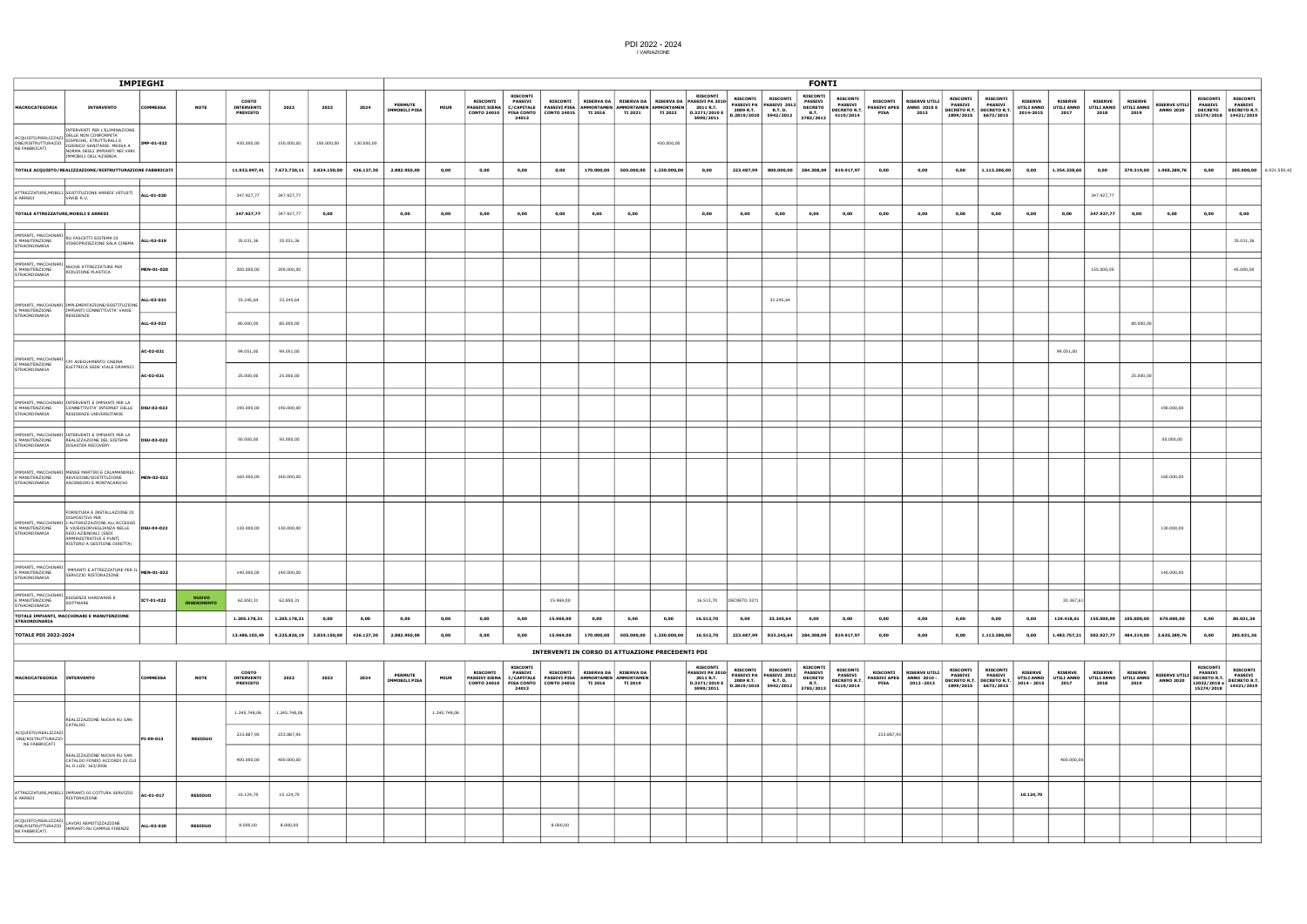|                                                            |                                                                                                                                                                                                                   | <b>IMPIEGHI</b> |                                    |                                               |              |              |            |                                        |              |                                                               |                                                                                      |                                           |                                                                                                                                                  |                |                         |                                                                                                       |                                    |                                                            | <b>FONTI</b>                                                                    |                                                                |                                                                            |                                                              |                                         |                                                                      |                                             |                                                     |                                                    |                                                     |                                          |                                                                                             |                                                   |
|------------------------------------------------------------|-------------------------------------------------------------------------------------------------------------------------------------------------------------------------------------------------------------------|-----------------|------------------------------------|-----------------------------------------------|--------------|--------------|------------|----------------------------------------|--------------|---------------------------------------------------------------|--------------------------------------------------------------------------------------|-------------------------------------------|--------------------------------------------------------------------------------------------------------------------------------------------------|----------------|-------------------------|-------------------------------------------------------------------------------------------------------|------------------------------------|------------------------------------------------------------|---------------------------------------------------------------------------------|----------------------------------------------------------------|----------------------------------------------------------------------------|--------------------------------------------------------------|-----------------------------------------|----------------------------------------------------------------------|---------------------------------------------|-----------------------------------------------------|----------------------------------------------------|-----------------------------------------------------|------------------------------------------|---------------------------------------------------------------------------------------------|---------------------------------------------------|
| MACROCATEGORIA                                             | <b>INTERVENTO</b>                                                                                                                                                                                                 | <b>COMMESSA</b> | <b>NOTE</b>                        | COSTO<br><b>INTERVENTI</b><br><b>PREVISTO</b> | 2022         | 2023         | 2024       | <b>PERMUTE</b><br><b>IMMOBILI PISA</b> | MIUR         | <b>RISCONTI</b><br><b>PASSIVI SIENA</b><br><b>CONTO 24010</b> | <b>RISCONTI</b><br><b>PASSIVI</b><br><b>C/CAPITALE</b><br><b>PISA CONTO</b><br>24013 | RISCONTI  <br><b>CONTO 24015</b>          | RISERVA DA   RISERVA DA   RISERVA DA   PASSIVI PA   PASSIVI PA   PASSIVI 2012<br>PASSIVI PISA AMMORTAMEN AMMORTAMEN AMMORTAMEN<br><b>TI 2016</b> | <b>TI 2021</b> | <b>TI 2022</b>          | <b>RISCONTI</b><br>2011 R.T.<br>D.3271/2010 E<br>5990/2011                                            | 2009 R.T.<br>D.2819/2010 5942/2012 | <b>R.T. D.</b>                                             | <b>RISCONTI</b><br><b>PASSIVI</b><br><b>DECRETO</b><br><b>R.T.</b><br>3783/2013 | <b>RISCONTI</b><br>PASSIVI<br><b>DECRETO R.T.</b><br>4110/2014 | <b>PISA</b>                                                                | RISCONTI RISERVE UTILI<br>PASSIVI APES   ANNO 2010 E<br>2013 | <b>RISCONTI</b><br>PASSIVI<br>1899/2015 | <b>RISCONTI</b><br>PASSIVI<br>DECRETO R.T. DECRETO R.T.<br>6673/2015 | <b>RISERVE</b><br>2014-2015                 | <b>RISERVE</b><br>UTILI ANNO   UTILI ANNO  <br>2017 | <b>RISERVE</b><br>UTILI ANNO VITILI ANNO  <br>2018 | <b>RISERVE</b><br>2019                              | <b>RISERVE UTILI</b><br><b>ANNO 2020</b> | <b>RISCONTI</b><br><b>PASSIVI</b><br><b>DECRETO</b><br>15274/2018 14421/2019                | <b>RISCONTI</b><br>PASSIVI<br><b>DECRETO R.T.</b> |
| NE FABBRICATI                                              | TERVENTI PER L'ELIMINAZIONE<br>DELLE NON CONFORMITA'<br>ACQUISTO/REALIZZAZI UELLE NON CON CONTRALI E<br>IGIENICO SANITARIE. MESSA A<br>NORMA DEGLI IMPIANTI NEI VARI<br>IMMOBILI DELL'AZIENDA                     | IMP-01-022      |                                    | 430.000,00                                    | 150.000,00   | 150.000,00   | 130.000,00 |                                        |              |                                                               |                                                                                      |                                           |                                                                                                                                                  |                | 430.000,00              |                                                                                                       |                                    |                                                            |                                                                                 |                                                                |                                                                            |                                                              |                                         |                                                                      |                                             |                                                     |                                                    |                                                     |                                          |                                                                                             |                                                   |
|                                                            | TOTALE ACQUISTO/REALIZZAZIONE/RISTRUTTURAZIONE FABBRICATI                                                                                                                                                         |                 |                                    | 11.932.997,41                                 | 7.672.720,11 | 3.834.150,00 | 426.127,30 | 2.882.950,00                           | 0,00         | 0,00                                                          | 0,00                                                                                 | 0,00                                      | 170.000,00                                                                                                                                       |                | 505.000,00 1.230.000,00 | 0,00                                                                                                  |                                    | 223.487,99 800.000,00 284.308,09 819.917,97                |                                                                                 |                                                                | 0,00                                                                       | 0,00                                                         | 0,00                                    | 1.113.386,00                                                         | 0,00                                        | 1.354.338,60                                        | 0,00                                               | 379.319,00                                          | 1.965.289,76                             | 0,00                                                                                        | 205.000,00 6.921.559,42                           |
| E ARREDI                                                   | ATTREZZATURE,MOBILI SOSTITUZIONE ARREDI VETUSTI<br>VARIE R.U.                                                                                                                                                     | ALL-01-020      |                                    | 347.927,77                                    | 347.927,77   |              |            |                                        |              |                                                               |                                                                                      |                                           |                                                                                                                                                  |                |                         |                                                                                                       |                                    |                                                            |                                                                                 |                                                                |                                                                            |                                                              |                                         |                                                                      |                                             |                                                     | 347.927,77                                         |                                                     |                                          |                                                                                             |                                                   |
| TOTALE ATTREZZATURE, MOBILI E ARREDI                       |                                                                                                                                                                                                                   |                 |                                    | 347.927,77                                    | 347.927,77   | 0,00         |            | 0,00                                   | 0,00         | 0,00                                                          | 0,00                                                                                 | 0,00                                      | 0,00                                                                                                                                             | 0,00           |                         | 0,00                                                                                                  | 0,00                               | 0,00                                                       | 0,00                                                                            | 0,00                                                           | 0,00                                                                       | 0,00                                                         | 0,00                                    | 0,00                                                                 | 0,00                                        | 0,00                                                | 347.927,77                                         | 0,00                                                | 0,00                                     | 0,00                                                                                        | 0,00                                              |
| IMPIANTI, MACCHINARI<br>E MANUTENZIONE<br>STRAORDINARIA    | RU FASCETTI SISTEMA DI<br>VIDEOPROIEZIONE SALA CINEMA                                                                                                                                                             | ALL-02-019      |                                    | 35.031,36                                     | 35.031,36    |              |            |                                        |              |                                                               |                                                                                      |                                           |                                                                                                                                                  |                |                         |                                                                                                       |                                    |                                                            |                                                                                 |                                                                |                                                                            |                                                              |                                         |                                                                      |                                             |                                                     |                                                    |                                                     |                                          |                                                                                             | 35.031,36                                         |
| E MANUTENZIONE<br>STRAORDINARIA                            | IMPIANTI, MACCHINARI NUOVE ATTREZZATURE PER<br>RIDUZIONE PLASTICA                                                                                                                                                 | MEN-01-020      |                                    | 200.000,00                                    | 200.000,00   |              |            |                                        |              |                                                               |                                                                                      |                                           |                                                                                                                                                  |                |                         |                                                                                                       |                                    |                                                            |                                                                                 |                                                                |                                                                            |                                                              |                                         |                                                                      |                                             |                                                     | 155.000,00                                         |                                                     |                                          |                                                                                             | 45.000,00                                         |
| E MANUTENZIONE                                             | IMPIANTI, MACCHINARI IMPLEMENTAZIONE/SOSTITUZIONE<br>IMPIANTI CONNETTIVITA' VARIE                                                                                                                                 | ALL-02-021      |                                    | 33.245,64                                     | 33.245,64    |              |            |                                        |              |                                                               |                                                                                      |                                           |                                                                                                                                                  |                |                         |                                                                                                       |                                    | 33.245,64                                                  |                                                                                 |                                                                |                                                                            |                                                              |                                         |                                                                      |                                             |                                                     |                                                    |                                                     |                                          |                                                                                             |                                                   |
| STRAORDINARIA                                              | RESIDENZE                                                                                                                                                                                                         | ALL-02-021      |                                    | 80.000,00                                     | 80.000,00    |              |            |                                        |              |                                                               |                                                                                      |                                           |                                                                                                                                                  |                |                         |                                                                                                       |                                    |                                                            |                                                                                 |                                                                |                                                                            |                                                              |                                         |                                                                      |                                             |                                                     |                                                    | 80.000,00                                           |                                          |                                                                                             |                                                   |
|                                                            |                                                                                                                                                                                                                   | AC-02-021       |                                    | 99.051,00                                     | 99.051,00    |              |            |                                        |              |                                                               |                                                                                      |                                           |                                                                                                                                                  |                |                         |                                                                                                       |                                    |                                                            |                                                                                 |                                                                |                                                                            |                                                              |                                         |                                                                      |                                             | 99.051,00                                           |                                                    |                                                     |                                          |                                                                                             |                                                   |
| IMPIANTI, MACCHINARI<br>E MANUTENZIONE<br>STRAORDINARIA    | CPI ADEGUAMENTO CABINA<br>ELETTRICA SEDE VIALE GRAMSCI                                                                                                                                                            | AC-02-021       |                                    | 25.000,00                                     | 25.000,00    |              |            |                                        |              |                                                               |                                                                                      |                                           |                                                                                                                                                  |                |                         |                                                                                                       |                                    |                                                            |                                                                                 |                                                                |                                                                            |                                                              |                                         |                                                                      |                                             |                                                     |                                                    | 25.000,00                                           |                                          |                                                                                             |                                                   |
| E MANUTENZIONE<br>STRAORDINARIA                            | IMPIANTI, MACCHINARI INTERVENTI E IMPIANTI PER LA<br>CONNETTIVITA' INTERNET DELLE   DSU-02-022<br>RESIDENZE UNIVERSITARIE                                                                                         |                 |                                    | 190.000,00                                    | 190.000,00   |              |            |                                        |              |                                                               |                                                                                      |                                           |                                                                                                                                                  |                |                         |                                                                                                       |                                    |                                                            |                                                                                 |                                                                |                                                                            |                                                              |                                         |                                                                      |                                             |                                                     |                                                    |                                                     | 190.000,00                               |                                                                                             |                                                   |
| E MANUTENZIONE<br>STRAORDINARIA                            | MPIANTI, MACCHINARI INTERVENTI E IMPIANTI PER LA<br>REALIZZAZIONE DEL SISTEMA<br>DISASTER RECOVERY                                                                                                                | DSU-03-022      |                                    | 50,000.00                                     | 50.000,00    |              |            |                                        |              |                                                               |                                                                                      |                                           |                                                                                                                                                  |                |                         |                                                                                                       |                                    |                                                            |                                                                                 |                                                                |                                                                            |                                                              |                                         |                                                                      |                                             |                                                     |                                                    |                                                     | 50.000,00                                |                                                                                             |                                                   |
| E MANUTENZIONE<br>STRAORDINARIA                            | IMPIANTI, MACCHINARI MENSE MARTIRI E CALAMANDREI:<br>REVISIONE/SOSTITUZIONE<br>ASCENSORI E MONTACARICHI                                                                                                           | MEN-02-022      |                                    | 160.000,00                                    | 160.000,00   |              |            |                                        |              |                                                               |                                                                                      |                                           |                                                                                                                                                  |                |                         |                                                                                                       |                                    |                                                            |                                                                                 |                                                                |                                                                            |                                                              |                                         |                                                                      |                                             |                                                     |                                                    |                                                     | 160.000,00                               |                                                                                             |                                                   |
| E MANUTENZIONE<br>STRAORDINARIA                            | FORNITURA E INSTALLAZIONE DI<br>ISPOSITIVI PER<br>IMPIANTI, MACCHINARI L'AUTORIZZAZIONE ALL'ACCESSO<br>E VIDEOSORVEGLIANZA NELLE<br>SEDI AZIENDALI (SEDI<br>AMMINISTRATIVE E PUNTI<br>RISTORO A GESTIONE DIRETTA) | DSU-04-022      |                                    | 130.000,00                                    | 130.000,00   |              |            |                                        |              |                                                               |                                                                                      |                                           |                                                                                                                                                  |                |                         |                                                                                                       |                                    |                                                            |                                                                                 |                                                                |                                                                            |                                                              |                                         |                                                                      |                                             |                                                     |                                                    |                                                     | 130.000,00                               |                                                                                             |                                                   |
| STRAORDINARIA                                              | IMPIANTI, MACCHINARI   IMPIANTI E ATTREZZATURE PER IL   MEN-01-022<br>SERVIZIO RISTORAZIONE                                                                                                                       |                 |                                    | 140.000,00                                    | 140.000,00   |              |            |                                        |              |                                                               |                                                                                      |                                           |                                                                                                                                                  |                |                         |                                                                                                       |                                    |                                                            |                                                                                 |                                                                |                                                                            |                                                              |                                         |                                                                      |                                             |                                                     |                                                    |                                                     | 140.000,00                               |                                                                                             |                                                   |
| E MANUTENZIONE<br>STRAORDINARIA                            | IMPIANTI, MACCHINARI<br>ESIGENZE HARDWARE E<br>SOFTWARE                                                                                                                                                           | ICT-01-022      | <b>NUOVO</b><br><b>INSERIMENTO</b> | 62.850,31                                     | 62.850,31    |              |            |                                        |              |                                                               |                                                                                      | 15.969,00                                 |                                                                                                                                                  |                |                         | 16.513,70                                                                                             | DECRETO 3271                       |                                                            |                                                                                 |                                                                |                                                                            |                                                              |                                         |                                                                      |                                             | 30.367,61                                           |                                                    |                                                     |                                          |                                                                                             |                                                   |
| <b>STRAORDINARIA</b>                                       | TOTALE IMPIANTI, MACCHINARI E MANUTENZIONE                                                                                                                                                                        |                 |                                    | 1.205.178,31                                  | 1.205.178,31 | 0,00         | 0,00       | 0,00                                   | 0,00         | 0,00                                                          | 0,00                                                                                 | 15.969,00                                 | 0,00                                                                                                                                             | 0,00           | 0,00                    | 16.513,70                                                                                             | 0,00                               | 33.245,64                                                  | 0,00                                                                            | 0,00                                                           | 0,00                                                                       | 0,00                                                         | 0,00                                    | 0,00                                                                 | 0,00                                        | 129.418,61                                          |                                                    | 155.000,00 105.000,00                               | 670.000,00                               | 0,00                                                                                        | 80.031,36                                         |
| <b>TOTALE PDI 2022-2024</b>                                |                                                                                                                                                                                                                   |                 |                                    | 13.486.103,49                                 | 9.225.826,19 | 3.834.150,00 | 426.127,30 | 2.882.950,00                           | 0,00         | 0,00                                                          | 0,00                                                                                 | 15.969,00                                 | 170.000,00                                                                                                                                       |                | 505.000,00 1.230.000,00 | 16.513,70                                                                                             |                                    | 223.487,99 833.245,64 284.308,09 819.917,97                |                                                                                 |                                                                | 0,00                                                                       | 0,00                                                         | 0,00                                    | 1.113.386,00                                                         | 0,00                                        | 1.483.757,21                                        |                                                    | 502.927,77 484.319,00                               | 2.635.289,76                             | 0,00                                                                                        | 285.031,36                                        |
|                                                            |                                                                                                                                                                                                                   |                 |                                    |                                               |              |              |            |                                        |              |                                                               |                                                                                      |                                           | INTERVENTI IN CORSO DI ATTUAZIONE PRECEDENTI PDI                                                                                                 |                |                         |                                                                                                       |                                    |                                                            |                                                                                 |                                                                |                                                                            |                                                              |                                         |                                                                      |                                             |                                                     |                                                    |                                                     |                                          |                                                                                             |                                                   |
| <b>MACROCATEGORIA</b>                                      | <b>INTERVENTO</b>                                                                                                                                                                                                 | COMMESSA        | <b>NOTE</b>                        | COSTO<br><b>INTERVENTI</b><br><b>PREVISTO</b> | 2022         | 2023         | 2024       | <b>PERMUTE</b><br><b>IMMOBILI PISA</b> | <b>MIUR</b>  | <b>RISCONTI</b><br><b>PASSIVI SIENA</b><br>CONTO 24010        | <b>RISCONTI</b><br><b>PASSIVI</b><br><b>C/CAPITALE</b><br>24013                      | <b>RISCONTI</b><br>PISA CONTO CONTO 24015 | RISERVA DA   RISERVA DA<br>PASSIVI PISA AMMORTAMEN AMMORTAMEN<br><b>TI 2016</b>                                                                  | <b>TI 2019</b> |                         | <b>RISCONTI</b><br>PASSIVI PA 2010 PASSIVI PA PASSIVI 2012<br>2011 R.T.<br>D.3271/2010 E<br>5990/2011 | <b>RISCONTI</b><br>2009 R.T.       | <b>RISCONTI</b><br><b>R.T. D.</b><br>D.2819/2010 5942/2012 | <b>RISCONTI</b><br><b>PASSIVI</b><br><b>R.T.</b><br>3783/2013                   | <b>RISCONTI</b><br><b>PASSIVI</b><br>4110/2014                 | RISCONTI  <br>DECRETO DECRETO R.T. PASSIVI APES ANNO 2010 -<br><b>PISA</b> | <b>RISERVE UTILI</b><br>2012 - 2013                          | <b>RISCONTI</b><br>PASSIVI<br>1899/2015 | <b>RISCONTI</b><br>PASSIVI<br>DECRETO R.T. DECRETO R.T.<br>6673/2015 | <b>RISERVE</b><br>UTILI ANNO<br>2014 - 2015 | <b>RISERVE</b><br>UTILI ANNO<br>2017                | <b>RISERVE</b><br>2018                             | <b>RISERVE</b><br>UTILI ANNO   UTILI ANNO  <br>2019 | <b>RISERVE UTILI</b><br><b>ANNO 2020</b> | <b>RISCONTI</b><br><b>PASSIVI</b><br>DECRETO R.T. DECRETO R.T.<br>13032/2018e<br>15274/2018 | <b>RISCONTI</b><br>PASSIVI<br>14421/2019          |
|                                                            | REALIZZAZIONE NUOVA RU SAN                                                                                                                                                                                        |                 |                                    | 1.245.748,06                                  | 1.245.748,06 |              |            |                                        | 1.245.748,06 |                                                               |                                                                                      |                                           |                                                                                                                                                  |                |                         |                                                                                                       |                                    |                                                            |                                                                                 |                                                                |                                                                            |                                                              |                                         |                                                                      |                                             |                                                     |                                                    |                                                     |                                          |                                                                                             |                                                   |
| ACQUISTO/REALIZZAZI<br>ONE/RISTRUTTURAZIO<br>NE FABBRICATI | CATALDO                                                                                                                                                                                                           | PI-09-013       | <b>RESIDUO</b>                     | 233.887,95                                    | 233.887,95   |              |            |                                        |              |                                                               |                                                                                      |                                           |                                                                                                                                                  |                |                         |                                                                                                       |                                    |                                                            |                                                                                 |                                                                | 233.887,95                                                                 |                                                              |                                         |                                                                      |                                             |                                                     |                                                    |                                                     |                                          |                                                                                             |                                                   |

| <b>RISCONTI</b><br><b>RISCONTI</b><br><b>RISCONTI</b><br><b>RISCONTI</b><br><b>RISCONTI</b><br><b>RISCONTI</b><br><b>RISCONTI</b><br><b>RISCONTI</b><br><b>RISCONTI</b><br><b>RISCONTI</b><br><b>RISERVE</b><br>COSTO<br><b>RISCONTI</b><br><b>PASSIVI</b><br>RISERVA DA RISERVA DA<br>PASSIVI PA 2010-<br><b>PASSIVI</b><br><b>RISERVE UTILI</b><br>PASSIVI 2012<br><b>PASSIVI PA</b><br><b>PERMUTE</b><br><b>PASSIVI</b><br><b>PASSIVI</b><br><b>PASSIVI</b><br>2024<br><b>AMMORTAMEN AMMORTAMEN</b><br>2022<br>2023<br><b>DECRETO</b><br><b>PASSIVI APES</b><br>UTILI ANNO<br>MACROCATEGORIA INTERVENTO<br><b>COMMESSA</b><br><b>NOTE</b><br>C/CAPITALE<br><b>PASSIVI PISA</b><br>2011 R.T.<br>ANNO 2010 -<br>INTERVENTI<br><b>MIUR</b><br>PASSIVI SIENA<br>2009 R.T.<br><b>IMMOBILI PISA</b><br><b>R.T. D.</b><br>DECRETO R.T<br>6673/2015<br><b>DECRETOR.</b><br><b>DECRETO R.T.</b><br><b>CONTO 24010</b><br><b>PISA CONTO</b><br><b>CONTO 24015</b><br>D.3271/2010 E<br><b>R.T.</b><br><b>PISA</b><br>2012-2013<br><b>PREVISTO</b><br>2014 - 2015<br>TI 2016<br><b>TI 2019</b><br>1899/2015<br>5942/2012<br>4110/2014<br>D.2819/2010<br>5990/2011<br>3783/2013<br>24013<br>1.245.748,06<br>1.245.748,06<br>1.245.748,06<br>REALIZZAZIONE NUOVA RU SAN<br>CATALDO<br>ACQUISTO/REALIZZAZI<br>233.887,95<br>233.887,95<br>233.887,9<br>ONE/RISTRUTTURAZIO<br>PI-09-013<br><b>RESIDUO</b><br>NE FABBRICATI<br>REALIZZAZIONE NUOVA RU SAN<br>400.000,00<br>400.000,00<br>CATALDO FONDO ACCORDI DI CUI<br>AL D.LGS, 163/2006<br>ATTREZZATURE, MOBILI IMPIANTI DI COTTURA SERVIZIO<br>10.124,70<br>10.124,70<br>AC-01-017<br>10.124,70<br><b>RESIDUO</b><br>E ARREDI<br>RISTORAZIONE<br>8.000,00<br>8.000,00<br>8.000,00<br>ALL-02-020<br><b>RESIDUO</b> |  |  |  |  |  |  |  |  |  |  |  |  |  |                                             |
|----------------------------------------------------------------------------------------------------------------------------------------------------------------------------------------------------------------------------------------------------------------------------------------------------------------------------------------------------------------------------------------------------------------------------------------------------------------------------------------------------------------------------------------------------------------------------------------------------------------------------------------------------------------------------------------------------------------------------------------------------------------------------------------------------------------------------------------------------------------------------------------------------------------------------------------------------------------------------------------------------------------------------------------------------------------------------------------------------------------------------------------------------------------------------------------------------------------------------------------------------------------------------------------------------------------------------------------------------------------------------------------------------------------------------------------------------------------------------------------------------------------------------------------------------------------------------------------------------------------------------------------------------------------------------------------------------------------------------------------------------------|--|--|--|--|--|--|--|--|--|--|--|--|--|---------------------------------------------|
|                                                                                                                                                                                                                                                                                                                                                                                                                                                                                                                                                                                                                                                                                                                                                                                                                                                                                                                                                                                                                                                                                                                                                                                                                                                                                                                                                                                                                                                                                                                                                                                                                                                                                                                                                          |  |  |  |  |  |  |  |  |  |  |  |  |  | <b>RISERVE</b><br><b>UTILI ANNO</b><br>2017 |
|                                                                                                                                                                                                                                                                                                                                                                                                                                                                                                                                                                                                                                                                                                                                                                                                                                                                                                                                                                                                                                                                                                                                                                                                                                                                                                                                                                                                                                                                                                                                                                                                                                                                                                                                                          |  |  |  |  |  |  |  |  |  |  |  |  |  |                                             |
| ACQUISTO/REALIZZAZI<br>ONE/RISTRUTTURAZIO<br>NE FABBRICATI MPIANTI RU CAMPUS FIRENZE                                                                                                                                                                                                                                                                                                                                                                                                                                                                                                                                                                                                                                                                                                                                                                                                                                                                                                                                                                                                                                                                                                                                                                                                                                                                                                                                                                                                                                                                                                                                                                                                                                                                     |  |  |  |  |  |  |  |  |  |  |  |  |  |                                             |
|                                                                                                                                                                                                                                                                                                                                                                                                                                                                                                                                                                                                                                                                                                                                                                                                                                                                                                                                                                                                                                                                                                                                                                                                                                                                                                                                                                                                                                                                                                                                                                                                                                                                                                                                                          |  |  |  |  |  |  |  |  |  |  |  |  |  |                                             |
|                                                                                                                                                                                                                                                                                                                                                                                                                                                                                                                                                                                                                                                                                                                                                                                                                                                                                                                                                                                                                                                                                                                                                                                                                                                                                                                                                                                                                                                                                                                                                                                                                                                                                                                                                          |  |  |  |  |  |  |  |  |  |  |  |  |  | 400,000.00                                  |
|                                                                                                                                                                                                                                                                                                                                                                                                                                                                                                                                                                                                                                                                                                                                                                                                                                                                                                                                                                                                                                                                                                                                                                                                                                                                                                                                                                                                                                                                                                                                                                                                                                                                                                                                                          |  |  |  |  |  |  |  |  |  |  |  |  |  |                                             |
|                                                                                                                                                                                                                                                                                                                                                                                                                                                                                                                                                                                                                                                                                                                                                                                                                                                                                                                                                                                                                                                                                                                                                                                                                                                                                                                                                                                                                                                                                                                                                                                                                                                                                                                                                          |  |  |  |  |  |  |  |  |  |  |  |  |  |                                             |
|                                                                                                                                                                                                                                                                                                                                                                                                                                                                                                                                                                                                                                                                                                                                                                                                                                                                                                                                                                                                                                                                                                                                                                                                                                                                                                                                                                                                                                                                                                                                                                                                                                                                                                                                                          |  |  |  |  |  |  |  |  |  |  |  |  |  |                                             |
|                                                                                                                                                                                                                                                                                                                                                                                                                                                                                                                                                                                                                                                                                                                                                                                                                                                                                                                                                                                                                                                                                                                                                                                                                                                                                                                                                                                                                                                                                                                                                                                                                                                                                                                                                          |  |  |  |  |  |  |  |  |  |  |  |  |  |                                             |
|                                                                                                                                                                                                                                                                                                                                                                                                                                                                                                                                                                                                                                                                                                                                                                                                                                                                                                                                                                                                                                                                                                                                                                                                                                                                                                                                                                                                                                                                                                                                                                                                                                                                                                                                                          |  |  |  |  |  |  |  |  |  |  |  |  |  |                                             |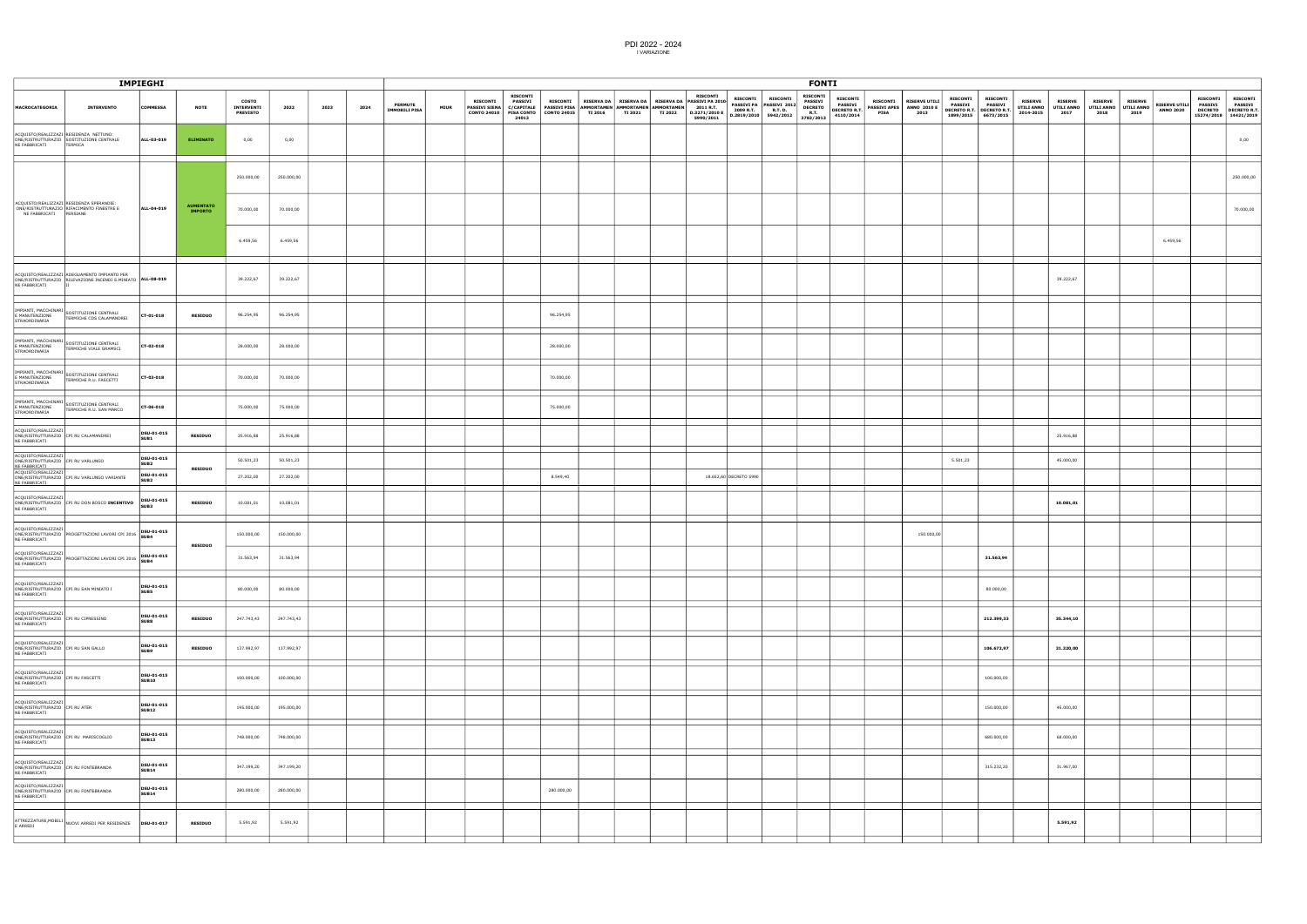|                                                                            |                                                                                                             | IMPIEGHI                       |                                    |                                               |            |      |      |                                        |             |                 |                                                                                                  |                                       |  |                                               |                        |                                                                                                                                                                                                                                  | <b>FONTI</b>    |  |            |                                   |                                                                                       |                             |                                                 |      |                                         |          |                                                     |                                                                                   |
|----------------------------------------------------------------------------|-------------------------------------------------------------------------------------------------------------|--------------------------------|------------------------------------|-----------------------------------------------|------------|------|------|----------------------------------------|-------------|-----------------|--------------------------------------------------------------------------------------------------|---------------------------------------|--|-----------------------------------------------|------------------------|----------------------------------------------------------------------------------------------------------------------------------------------------------------------------------------------------------------------------------|-----------------|--|------------|-----------------------------------|---------------------------------------------------------------------------------------|-----------------------------|-------------------------------------------------|------|-----------------------------------------|----------|-----------------------------------------------------|-----------------------------------------------------------------------------------|
| <b>MACROCATEGORIA</b>                                                      | <b>INTERVENTO</b>                                                                                           | COMMESSA                       | <b>NOTE</b>                        | <b>COSTO</b><br>INTERVENTI<br><b>PREVISTO</b> | 2022       | 2023 | 2024 | <b>PERMUTE</b><br><b>IMMOBILI PISA</b> | <b>MIUR</b> | <b>RISCONTI</b> | <b>RISCONTI</b><br><b>PASSIVI</b><br>PASSIVI SIENA C/CAPITALE<br>CONTO 24010 PISA CONTO<br>24013 | <b>RISCONTI</b><br><b>CONTO 24015</b> |  | PASSIVI PISA AMMORTAMEN AMMORTAMEN AMMORTAMEN | <b>RISCONTI</b>        | RISERVADA RISERVADA RISERVADA PASSIVIPAZION BISCONTI MISSIVIPA PASSIVI PASSIVI PASSIVIPAS INNO 2010 E NA ANGLE<br>ALIMANYANEN AMMORTAMEN ANNORTAMEN 2011 R.T. 2009 R.T. R.T.D. PETT DECRETOR.T. PISA 2013 - 2013 - 2013 - 2013 - | <b>RISCONTI</b> |  | 2013       | <b>RISCONTI</b><br><b>PASSIVI</b> | <b>RISCONTI</b><br><b>PASSIVI</b><br>DECRETO R.T. DECRETO R.T.<br>1899/2015 6673/2015 | <b>RISERVE</b><br>2014-2015 | <b>RISERVE</b><br>UTILI ANNO UTILI ANNO<br>2017 | 2018 | UTILI ANNO UTILI ANNO ANNO 2015<br>2019 |          | <b>RISCONTI</b><br><b>PASSIVI</b><br><b>DECRETO</b> | <b>RISCONTI</b><br><b>PASSIVI</b><br><b>DECRETO R.T.</b><br>15274/2018 14421/2019 |
| NE FABBRICATI                                                              | ACQUISTO/REALIZZAZI RESIDENZA NETTUNO:<br>ONE/RISTRUTTURAZIO SOSTITUZIONE CENTRALE<br>TERMICA               | ALL-03-019                     | ELIMINATO                          | 0,00                                          | 0,00       |      |      |                                        |             |                 |                                                                                                  |                                       |  |                                               |                        |                                                                                                                                                                                                                                  |                 |  |            |                                   |                                                                                       |                             |                                                 |      |                                         |          |                                                     | 0,00                                                                              |
|                                                                            |                                                                                                             |                                |                                    | 250.000,00                                    | 250.000,00 |      |      |                                        |             |                 |                                                                                                  |                                       |  |                                               |                        |                                                                                                                                                                                                                                  |                 |  |            |                                   |                                                                                       |                             |                                                 |      |                                         |          |                                                     | 250.000,00                                                                        |
| NE FABBRICATI                                                              | ACQUISTO/REALIZZAZI RESIDENZA SPERANDIE:<br>ONE/RISTRUTTURAZIO RIFACIMENTO FINESTRE E<br>PERSIANE           | ALL-04-019                     | <b>AUMENTATO</b><br><b>IMPORTO</b> | 70.000,00                                     | 70.000,00  |      |      |                                        |             |                 |                                                                                                  |                                       |  |                                               |                        |                                                                                                                                                                                                                                  |                 |  |            |                                   |                                                                                       |                             |                                                 |      |                                         |          |                                                     | 70.000,00                                                                         |
|                                                                            |                                                                                                             |                                |                                    | 6.459,56                                      | 6.459,56   |      |      |                                        |             |                 |                                                                                                  |                                       |  |                                               |                        |                                                                                                                                                                                                                                  |                 |  |            |                                   |                                                                                       |                             |                                                 |      |                                         | 6.459,56 |                                                     |                                                                                   |
| NE FABBRICATI                                                              | ACQUISTO/REALIZZAZI ADEGUAMENTO IMPIANTO PER<br>ONE/RISTRUTTURAZIO RILEVAZIONE INCENDI S.MINIATO ALL-08-019 |                                |                                    | 39.222,67                                     | 39.222,67  |      |      |                                        |             |                 |                                                                                                  |                                       |  |                                               |                        |                                                                                                                                                                                                                                  |                 |  |            |                                   |                                                                                       |                             | 39.222,67                                       |      |                                         |          |                                                     |                                                                                   |
| E MANUTENZIONE<br>STRAORDINARIA                                            | IMPIANTI, MACCHINARI SOSTITUZIONE CENTRALI<br>TERMICHE CDS CALAMANDREI                                      | CT-01-018                      | <b>RESIDUO</b>                     | 96.254,95                                     | 96.254,95  |      |      |                                        |             |                 |                                                                                                  | 96.254,95                             |  |                                               |                        |                                                                                                                                                                                                                                  |                 |  |            |                                   |                                                                                       |                             |                                                 |      |                                         |          |                                                     |                                                                                   |
| IMPIANTI, MACCHINARI<br>E MANUTENZIONE<br>STRAORDINARIA                    | SOSTITUZIONE CENTRALI<br>TERMICHE VIALE GRAMSCI                                                             | CT-02-018                      |                                    | 28.000,00                                     | 28.000,00  |      |      |                                        |             |                 |                                                                                                  | 28.000,00                             |  |                                               |                        |                                                                                                                                                                                                                                  |                 |  |            |                                   |                                                                                       |                             |                                                 |      |                                         |          |                                                     |                                                                                   |
| E MANUTENZIONE<br>STRAORDINARIA                                            | IMPIANTI, MACCHINARI SOSTITUZIONE CENTRALI<br>TERMICHE R.U. FASCETTI                                        | CT-03-018                      |                                    | 70.000,00                                     | 70.000,00  |      |      |                                        |             |                 |                                                                                                  | 70.000,00                             |  |                                               |                        |                                                                                                                                                                                                                                  |                 |  |            |                                   |                                                                                       |                             |                                                 |      |                                         |          |                                                     |                                                                                   |
| IMPIANTI, MACCHINARI<br>E MANUTENZIONE<br>STRAORDINARIA                    | SOSTITUZIONE CENTRALI<br>TERMICHE R.U. SAN MARCO                                                            | CT-06-018                      |                                    | 75.000,00                                     | 75.000,00  |      |      |                                        |             |                 |                                                                                                  | 75.000,00                             |  |                                               |                        |                                                                                                                                                                                                                                  |                 |  |            |                                   |                                                                                       |                             |                                                 |      |                                         |          |                                                     |                                                                                   |
| ACQUISTO/REALIZZAZI<br>NE FABBRICATI                                       | ONE/RISTRUTTURAZIO CPI RU CALAMANDREI                                                                       | DSU-01-015<br>SUB <sub>1</sub> | <b>RESIDUO</b>                     | 25.916,88                                     | 25.916,88  |      |      |                                        |             |                 |                                                                                                  |                                       |  |                                               |                        |                                                                                                                                                                                                                                  |                 |  |            |                                   |                                                                                       |                             | 25.916,88                                       |      |                                         |          |                                                     |                                                                                   |
| ACQUISTO/REALIZZAZI<br>ONE/RISTRUTTURAZIO CPI RU VARLUNGO<br>NE FABBRICATI |                                                                                                             | <b>DSU-01-015</b><br>SUB2      | <b>RESIDUO</b>                     | 50.501,23                                     | 50.501,23  |      |      |                                        |             |                 |                                                                                                  |                                       |  |                                               |                        |                                                                                                                                                                                                                                  |                 |  |            | 5.501,23                          |                                                                                       |                             | 45.000,00                                       |      |                                         |          |                                                     |                                                                                   |
| ACQUISTO/REALIZZAZ<br>NE FABBRICATI                                        | ONE/RISTRUTTURAZIO CPI RU VARLUNGO VARIANTE                                                                 | <b>DSU-01-015</b><br>SUB2      |                                    | 27.202,00                                     | 27.202,00  |      |      |                                        |             |                 |                                                                                                  | 8.549,40                              |  |                                               | 18.652,60 DECRETO 5990 |                                                                                                                                                                                                                                  |                 |  |            |                                   |                                                                                       |                             |                                                 |      |                                         |          |                                                     |                                                                                   |
| ACQUISTO/REALIZZAZI<br>NE FABBRICATI                                       | ACQUISTO/REALIZZAZI<br> ONE/RISTRUTTURAZIO CPI RU DON BOSCO INCENTIVO   SUB3<br> VE CABRICATE               |                                | <b>RESIDUO</b>                     | 10.081,01                                     | 10.081,01  |      |      |                                        |             |                 |                                                                                                  |                                       |  |                                               |                        |                                                                                                                                                                                                                                  |                 |  |            |                                   |                                                                                       |                             | 10.081,01                                       |      |                                         |          |                                                     |                                                                                   |
| ACQUISTO/REALIZZAZI<br>NE FABBRICATI                                       | ACQUISTO/REALIZZAZI<br>ONE/RISTRUTTURAZIO PROGETTAZIONI LAVORI CPI 2016 SUB4                                |                                | <b>RESIDUO</b>                     | 150.000,00                                    | 150.000,00 |      |      |                                        |             |                 |                                                                                                  |                                       |  |                                               |                        |                                                                                                                                                                                                                                  |                 |  | 150.000,00 |                                   |                                                                                       |                             |                                                 |      |                                         |          |                                                     |                                                                                   |
| ACQUISTO/REALIZZAZI<br>NE FABBRICATI                                       | ACQUISTO/REALIZZAZI<br>ONE/RISTRUTTURAZIO PROGETTAZIONI LAVORI CPI 2016 SUB4                                |                                |                                    | 31.563,94                                     | 31.563,94  |      |      |                                        |             |                 |                                                                                                  |                                       |  |                                               |                        |                                                                                                                                                                                                                                  |                 |  |            |                                   | 31.563,94                                                                             |                             |                                                 |      |                                         |          |                                                     |                                                                                   |
| ACQUISTO/REALIZZAZI                                                        | ONE/RISTRUTTURAZIO CPI RU SAN MINIATO I<br>NE FABBRICATI                                                    | DSU-01-015<br><b>SUB5</b>      |                                    | 80.000,00                                     | 80.000,00  |      |      |                                        |             |                 |                                                                                                  |                                       |  |                                               |                        |                                                                                                                                                                                                                                  |                 |  |            |                                   | 80.000,00                                                                             |                             |                                                 |      |                                         |          |                                                     |                                                                                   |
| ACQUISTO/REALIZZAZI<br>ONE/RISTRUTTURAZIO CPI RU CIPRESSINO                |                                                                                                             | <b>DSU-01-015</b><br>SUB8      | <b>RESIDUO</b>                     | 247.743,43                                    | 247.743,43 |      |      |                                        |             |                 |                                                                                                  |                                       |  |                                               |                        |                                                                                                                                                                                                                                  |                 |  |            |                                   | 212.399,33                                                                            |                             | 35.344,10                                       |      |                                         |          |                                                     |                                                                                   |
| ACQUISTO/REALIZZAZI<br>ONE/RISTRUTTURAZIO<br>NE FABBRICATI                 |                                                                                                             | DSU-01-015<br><b>SUB9</b>      | <b>RESIDUO</b>                     | 137.992,97                                    | 137.992,97 |      |      |                                        |             |                 |                                                                                                  |                                       |  |                                               |                        |                                                                                                                                                                                                                                  |                 |  |            |                                   | 106.672,97                                                                            |                             | 31.320,00                                       |      |                                         |          |                                                     |                                                                                   |
| ACQUISTO/REALIZZAZI<br>ONE/RISTRUTTURAZIO CPI RU FASCETTI<br>NE FABBRICATI |                                                                                                             | DSU-01-015<br><b>SUB10</b>     |                                    | 100.000,00                                    | 100.000,00 |      |      |                                        |             |                 |                                                                                                  |                                       |  |                                               |                        |                                                                                                                                                                                                                                  |                 |  |            |                                   | 100.000,00                                                                            |                             |                                                 |      |                                         |          |                                                     |                                                                                   |
| ACQUISTO/REALIZZAZI<br>ONE/RISTRUTTURAZIO CPI RU ATER<br>NE FABBRICATI     |                                                                                                             | DSU-01-015<br><b>SUB12</b>     |                                    | 195.000,00                                    | 195.000,00 |      |      |                                        |             |                 |                                                                                                  |                                       |  |                                               |                        |                                                                                                                                                                                                                                  |                 |  |            |                                   | 150.000,00                                                                            |                             | 45.000,00                                       |      |                                         |          |                                                     |                                                                                   |
| ACQUISTO/REALIZZAZI                                                        | ONE/RISTRUTTURAZIO CPI RU MARISCOGLIO                                                                       | DSU-01-015<br><b>SUB13</b>     |                                    | 748.000,00                                    | 748.000,00 |      |      |                                        |             |                 |                                                                                                  |                                       |  |                                               |                        |                                                                                                                                                                                                                                  |                 |  |            |                                   | 680.000,00                                                                            |                             | 68.000,00                                       |      |                                         |          |                                                     |                                                                                   |
| ACQUISTO/REALIZZAZI<br>NE FABBRICATI                                       | ONE/RISTRUTTURAZIO CPI RU FONTEBRANDA                                                                       | DSU-01-015<br><b>SUB14</b>     |                                    | 347.199,20                                    | 347.199,20 |      |      |                                        |             |                 |                                                                                                  |                                       |  |                                               |                        |                                                                                                                                                                                                                                  |                 |  |            |                                   | 315.232,20                                                                            |                             | 31.967,00                                       |      |                                         |          |                                                     |                                                                                   |
|                                                                            | ACQUISTO/REALIZZAZI<br>ONE/RISTRUTTURAZIO CPI RU FONTEBRANDA<br>NE FABBRICATI                               | DSU-01-015<br><b>SUB14</b>     |                                    | 280.000,00                                    | 280.000,00 |      |      |                                        |             |                 |                                                                                                  | 280.000,00                            |  |                                               |                        |                                                                                                                                                                                                                                  |                 |  |            |                                   |                                                                                       |                             |                                                 |      |                                         |          |                                                     |                                                                                   |
| E ARREDI                                                                   | ATTREZZATURE,MOBILI NUOVI ARREDI PER RESIDENZE                                                              | DSU-01-017                     | <b>RESIDUO</b>                     | 5.591,92                                      | 5.591,92   |      |      |                                        |             |                 |                                                                                                  |                                       |  |                                               |                        |                                                                                                                                                                                                                                  |                 |  |            |                                   |                                                                                       |                             | 5.591,92                                        |      |                                         |          |                                                     |                                                                                   |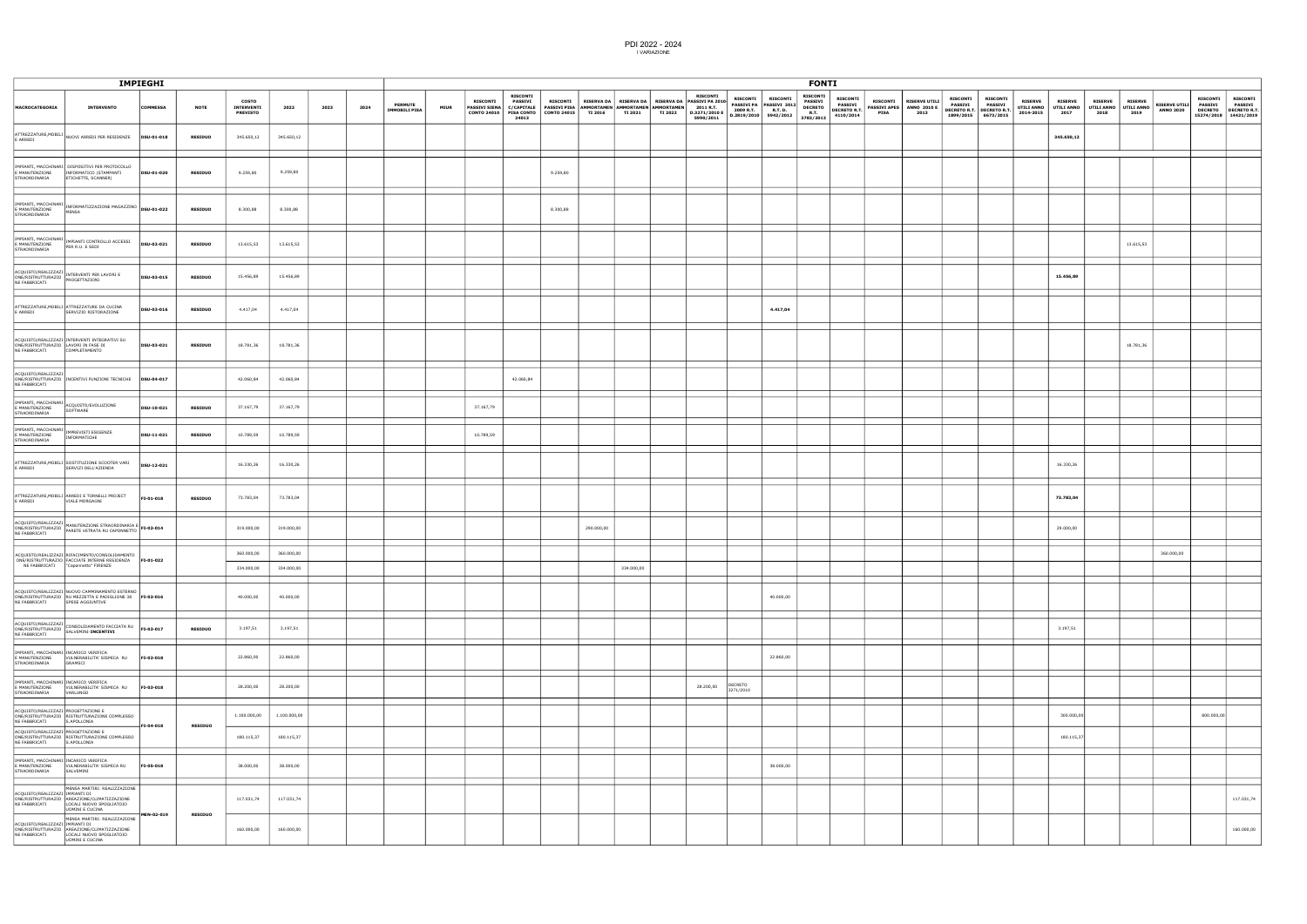|                                                                           |                                                                                                                                           | <b>IMPIEGHI</b> |                |                                               |              |      |      |                                        |             |                                                                                           |                                            |                                                                  |            |            |                                  |                                                  |                      |                                                                                                                                                                                                                       | <b>FONTI</b>    |                 |             |                                                                                                                                                                                                                                                                               |                                                |                                                |                             |                        |                        |                        |                       |                 |                                                                                    |
|---------------------------------------------------------------------------|-------------------------------------------------------------------------------------------------------------------------------------------|-----------------|----------------|-----------------------------------------------|--------------|------|------|----------------------------------------|-------------|-------------------------------------------------------------------------------------------|--------------------------------------------|------------------------------------------------------------------|------------|------------|----------------------------------|--------------------------------------------------|----------------------|-----------------------------------------------------------------------------------------------------------------------------------------------------------------------------------------------------------------------|-----------------|-----------------|-------------|-------------------------------------------------------------------------------------------------------------------------------------------------------------------------------------------------------------------------------------------------------------------------------|------------------------------------------------|------------------------------------------------|-----------------------------|------------------------|------------------------|------------------------|-----------------------|-----------------|------------------------------------------------------------------------------------|
| <b>MACROCATEGORIA</b>                                                     | <b>INTERVENTO</b>                                                                                                                         | <b>COMMESSA</b> | <b>NOTE</b>    | <b>COSTO</b><br>INTERVENTI<br><b>PREVISTO</b> | 2022         | 2023 | 2024 | <b>PERMUTE</b><br><b>IMMOBILI PISA</b> | <b>MIUR</b> | <b>RISCONTI</b><br>PASSIVI SIENA C/CAPITALE<br>CONTO 24010 PISA CONTO CONTO 24015 TI 2016 | <b>RISCONTI</b><br><b>PASSIVI</b><br>24013 | <b>RISCONTI</b><br>PASSIVI PISA AMMORTAMEN AMMORTAMEN AMMORTAMEN |            |            | RISERVA DA RISERVA DA RISERVA DA | <b>RISCONTI</b><br>TI 2021 TI 2022 D.3271/2010 E | <b>RISCONTI</b>      | <b>RISCONTI</b><br>$\begin{array}{ c c c c c c c c c c c } \hline & 2009 \text{ R.T.} & \text{R.T.} & \text{D} & \text{DECRETO R.T.} \\ \hline D.2819/2010 & 5942/2012 & 3783/2013 & 4110/2014 \\ \hline \end{array}$ | <b>RISCONTI</b> | <b>RISCONTI</b> | <b>PISA</b> | <b>RISCONTI RISERVE UTILI</b><br><b>PASSIVI ARE ANNO 2010 E PASSIVI PASSIVI PASSIVI PASSIVI ANNO ANNO ANNO ANNO A PASSIVI APROVEMENTA ARE ANNO A PASSIVI ARE ANNO A PASSIVI ANNO A PASSIVI ANNO A PASSIVI ANNO A PASSIVI ANNO A PASSIVI ANNO A PASSIVI ANNO A PAS</b><br>2013 | <b>RISCONTI</b><br><b>PASSIVI</b><br>1899/2015 | <b>RISCONTI</b><br><b>PASSIVI</b><br>6673/2015 | <b>RISERVE</b><br>2014-2015 | <b>RISERVE</b><br>2017 | <b>RISERVE</b><br>2018 | <b>RISERVE</b><br>2019 | RISERVE UTILI PASSIVI | <b>RISCONTI</b> | <b>RISCONTI</b><br><b>PASSIVI</b><br>DECRETO DECRETO R.T.<br>15274/2018 14421/2019 |
| E ARREDI                                                                  | ATTREZZATURE, MOBILI NUOVI ARREDI PER RESIDENZE                                                                                           | DSU-01-018      | <b>RESIDUO</b> | 345.650,12                                    | 345.650,12   |      |      |                                        |             |                                                                                           |                                            |                                                                  |            |            |                                  |                                                  |                      |                                                                                                                                                                                                                       |                 |                 |             |                                                                                                                                                                                                                                                                               |                                                |                                                |                             | 345.650,12             |                        |                        |                       |                 |                                                                                    |
| E MANUTENZIONE<br>STRAORDINARIA                                           | IMPIANTI, MACCHINARI   DISPOSITIVI PER PROTOCOLLO<br>INFORMATICO (STAMPANTI<br>ETICHETTE, SCANNER)                                        | DSU-01-020      | <b>RESIDUO</b> | 9.259,80                                      | 9.259,80     |      |      |                                        |             |                                                                                           |                                            | 9.259,80                                                         |            |            |                                  |                                                  |                      |                                                                                                                                                                                                                       |                 |                 |             |                                                                                                                                                                                                                                                                               |                                                |                                                |                             |                        |                        |                        |                       |                 |                                                                                    |
| STRAORDINARIA                                                             | IMPIANTI, MACCHINARI INFORMATIZZAZIONE MAGAZZINO   DSU-01-022<br><b>MENSA</b>                                                             |                 | <b>RESIDUO</b> | 8.300,88                                      | 8.300,88     |      |      |                                        |             |                                                                                           |                                            | 8.300,88                                                         |            |            |                                  |                                                  |                      |                                                                                                                                                                                                                       |                 |                 |             |                                                                                                                                                                                                                                                                               |                                                |                                                |                             |                        |                        |                        |                       |                 |                                                                                    |
| IMPIANTI, MACCHINARI<br>E MANUTENZIONE<br>STRAORDINARIA                   | IMPIANTI CONTROLLO ACCESSI<br>PER R.U. E SEDI                                                                                             | DSU-02-021      | <b>RESIDUO</b> | 13.615,53                                     | 13.615,53    |      |      |                                        |             |                                                                                           |                                            |                                                                  |            |            |                                  |                                                  |                      |                                                                                                                                                                                                                       |                 |                 |             |                                                                                                                                                                                                                                                                               |                                                |                                                |                             |                        |                        | 13.615,53              |                       |                 |                                                                                    |
| ACQUISTO/REALIZZAZI<br>NE FABBRICATI                                      | ACQUISTO/REALIZZAZI<br>ONE/RISTRUTTURAZIO PROGETTAZIONI<br>NE FABBRICATI                                                                  | DSU-03-015      | <b>RESIDUO</b> | 15.456,89                                     | 15.456,89    |      |      |                                        |             |                                                                                           |                                            |                                                                  |            |            |                                  |                                                  |                      |                                                                                                                                                                                                                       |                 |                 |             |                                                                                                                                                                                                                                                                               |                                                |                                                |                             | 15.456,89              |                        |                        |                       |                 |                                                                                    |
| E ARREDI                                                                  | ATTREZZATURE, MOBILI ATTREZZATURE DA CUCINA<br>SERVIZIO RISTORAZIONE                                                                      | DSU-03-016      | <b>RESIDUO</b> | 4.417,04                                      | 4.417,04     |      |      |                                        |             |                                                                                           |                                            |                                                                  |            |            |                                  |                                                  |                      | 4.417,04                                                                                                                                                                                                              |                 |                 |             |                                                                                                                                                                                                                                                                               |                                                |                                                |                             |                        |                        |                        |                       |                 |                                                                                    |
| ONE/RISTRUTTURAZIO LAVORI IN FASE DI<br>NE FABBRICATI                     | ACQUISTO/REALIZZAZI INTERVENTI INTEGRATIVI SU<br>COMPLETAMENTO                                                                            | DSU-03-021      | <b>RESIDUO</b> | 18.781,36                                     | 18.781,36    |      |      |                                        |             |                                                                                           |                                            |                                                                  |            |            |                                  |                                                  |                      |                                                                                                                                                                                                                       |                 |                 |             |                                                                                                                                                                                                                                                                               |                                                |                                                |                             |                        |                        | 18.781,36              |                       |                 |                                                                                    |
| ACQUISTO/REALIZZAZI<br>NE FABBRICATI                                      | ONE/RISTRUTTURAZIO INCENTIVI FUNZIONI TECNICHE                                                                                            | DSU-04-017      |                | 42.060,84                                     | 42.060,84    |      |      |                                        |             |                                                                                           | 42.060,84                                  |                                                                  |            |            |                                  |                                                  |                      |                                                                                                                                                                                                                       |                 |                 |             |                                                                                                                                                                                                                                                                               |                                                |                                                |                             |                        |                        |                        |                       |                 |                                                                                    |
| IMPIANTI, MACCHINARI<br>E MANUTENZIONE<br>STRAORDINARIA                   | ACQUISTO/EVOLUZIONE<br>SOFTWARE                                                                                                           | DSU-10-021      | <b>RESIDUO</b> | 37.167,79                                     | 37.167,79    |      |      |                                        |             | 37.167,79                                                                                 |                                            |                                                                  |            |            |                                  |                                                  |                      |                                                                                                                                                                                                                       |                 |                 |             |                                                                                                                                                                                                                                                                               |                                                |                                                |                             |                        |                        |                        |                       |                 |                                                                                    |
| IMPIANTI, MACCHINARI<br>E MANUTENZIONE<br>STRAORDINARIA                   | IMPREVISTI ESIGENZE<br>INFORMATICHE                                                                                                       | DSU-11-021      | <b>RESIDUO</b> | 10.789,59                                     | 10.789,59    |      |      |                                        |             | 10.789,59                                                                                 |                                            |                                                                  |            |            |                                  |                                                  |                      |                                                                                                                                                                                                                       |                 |                 |             |                                                                                                                                                                                                                                                                               |                                                |                                                |                             |                        |                        |                        |                       |                 |                                                                                    |
| E ARREDI                                                                  | ATTREZZATURE, MOBILI SOSTITUZIONE SCOOTER VARI<br>SERVIZI DELL'AZIENDA                                                                    | DSU-12-021      |                | 16.330,26                                     | 16.330,26    |      |      |                                        |             |                                                                                           |                                            |                                                                  |            |            |                                  |                                                  |                      |                                                                                                                                                                                                                       |                 |                 |             |                                                                                                                                                                                                                                                                               |                                                |                                                |                             | 16.330,26              |                        |                        |                       |                 |                                                                                    |
| E ARREDI                                                                  | ATTREZZATURE, MOBILI ARREDI E TORNELLI PROJECT<br><b>VIALE MORGAGNI</b>                                                                   | FI-01-018       | <b>RESIDUO</b> | 73.783,04                                     | 73.783,04    |      |      |                                        |             |                                                                                           |                                            |                                                                  |            |            |                                  |                                                  |                      |                                                                                                                                                                                                                       |                 |                 |             |                                                                                                                                                                                                                                                                               |                                                |                                                |                             | 73.783,04              |                        |                        |                       |                 |                                                                                    |
|                                                                           | ACQUISTO/REALIZZAZI<br> ONE/RISTRUTTURAZIO   MANUTENZIONE STRAORDINARIA E<br> --- CARRICATI<br> --- CARRICATI                             |                 |                | 319.000,00                                    | 319.000,00   |      |      |                                        |             |                                                                                           |                                            |                                                                  | 290.000,00 |            |                                  |                                                  |                      |                                                                                                                                                                                                                       |                 |                 |             |                                                                                                                                                                                                                                                                               |                                                |                                                |                             | 29.000,00              |                        |                        |                       |                 |                                                                                    |
|                                                                           | ACQUISTO/REALIZZAZI RIFACIMENTO/CONSOLIDAMENTO<br>ONE/RISTRUTTURAZIO FACCIATE INTERNE RESIDENZA FI-01-022                                 |                 |                | 360.000,00                                    | 360.000,00   |      |      |                                        |             |                                                                                           |                                            |                                                                  |            |            |                                  |                                                  |                      |                                                                                                                                                                                                                       |                 |                 |             |                                                                                                                                                                                                                                                                               |                                                |                                                |                             |                        |                        |                        | 360.000,00            |                 |                                                                                    |
| NE FABBRICATI                                                             | Caponnetto" FIRENZE                                                                                                                       |                 |                | 334.000,00                                    | 334.000,00   |      |      |                                        |             |                                                                                           |                                            |                                                                  |            | 334.000,00 |                                  |                                                  |                      |                                                                                                                                                                                                                       |                 |                 |             |                                                                                                                                                                                                                                                                               |                                                |                                                |                             |                        |                        |                        |                       |                 |                                                                                    |
| NE FABBRICATI                                                             | ACQUISTO/REALIZZAZI NUOVO CAMMINAMENTO ESTERNO<br>ONE/RISTRUTTURAZIO RU MEZZETTA E PADIGLIONE 38 FI-02-016<br>SPESE AGGIUNTIVE            |                 |                | 40.000,00                                     | 40.000,00    |      |      |                                        |             |                                                                                           |                                            |                                                                  |            |            |                                  |                                                  |                      | 40.000,00                                                                                                                                                                                                             |                 |                 |             |                                                                                                                                                                                                                                                                               |                                                |                                                |                             |                        |                        |                        |                       |                 |                                                                                    |
| ACQUISTO/REALIZZAZI<br>ONE/RISTRUTTURAZIO<br>NE FABBRICATI                | CONSOLIDAMENTO FACCIATA RU FI-02-017<br>SALVEMINI-INCENTIVI                                                                               |                 | <b>RESIDUO</b> | 3.197,51                                      | 3.197,51     |      |      |                                        |             |                                                                                           |                                            |                                                                  |            |            |                                  |                                                  |                      |                                                                                                                                                                                                                       |                 |                 |             |                                                                                                                                                                                                                                                                               |                                                |                                                |                             | 3.197,51               |                        |                        |                       |                 |                                                                                    |
| IMPIANTI, MACCHINARI INCARICO VERIFICA<br>E MANUTENZIONE<br>STRAORDINARIA | VULNERABILITA' SISMICA RU<br>GRAMSCI                                                                                                      | FI-02-018       |                | 22.860,00                                     | 22.860,00    |      |      |                                        |             |                                                                                           |                                            |                                                                  |            |            |                                  |                                                  |                      | 22.860,00                                                                                                                                                                                                             |                 |                 |             |                                                                                                                                                                                                                                                                               |                                                |                                                |                             |                        |                        |                        |                       |                 |                                                                                    |
| IMPIANTI, MACCHINARI INCARICO VERIFICA<br>E MANUTENZIONE<br>STRAORDINARIA | VULNERABILITA' SISMICA RU FI-03-018<br>VARLUNGO                                                                                           |                 |                | 28.200,00                                     | 28.200,00    |      |      |                                        |             |                                                                                           |                                            |                                                                  |            |            |                                  | 28.200,00                                        | DECRETO<br>3271/2010 |                                                                                                                                                                                                                       |                 |                 |             |                                                                                                                                                                                                                                                                               |                                                |                                                |                             |                        |                        |                        |                       |                 |                                                                                    |
| ACQUISTO/REALIZZAZI PROGETTAZIONE E<br>NE FABBRICATI                      | ONE/RISTRUTTURAZIO RISTRUTTURAZIONE COMPLESSO<br>S.APOLLONIA                                                                              | $-$ FI-04-018   |                | 1.100.000,00                                  | 1.100.000,00 |      |      |                                        |             |                                                                                           |                                            |                                                                  |            |            |                                  |                                                  |                      |                                                                                                                                                                                                                       |                 |                 |             |                                                                                                                                                                                                                                                                               |                                                |                                                |                             | 300.000,00             |                        |                        |                       | 800.000,00      |                                                                                    |
| ACQUISTO/REALIZZAZI PROGETTAZIONE E<br>NE FABBRICATI                      | ONE/RISTRUTTURAZIO RISTRUTTURAZIONE COMPLESSO<br>S.APOLLONIA                                                                              |                 | <b>RESIDUO</b> | 180.115,37                                    | 180.115,37   |      |      |                                        |             |                                                                                           |                                            |                                                                  |            |            |                                  |                                                  |                      |                                                                                                                                                                                                                       |                 |                 |             |                                                                                                                                                                                                                                                                               |                                                |                                                |                             | 180.115,37             |                        |                        |                       |                 |                                                                                    |
| IMPIANTI, MACCHINARI INCARICO VERIFICA<br>E MANUTENZIONE<br>STRAORDINARIA | VULNERABILITA' SISMICA RU<br>SALVEMINI                                                                                                    | FI-05-018       |                | 38.000,00                                     | 38.000,00    |      |      |                                        |             |                                                                                           |                                            |                                                                  |            |            |                                  |                                                  |                      | 38.000,00                                                                                                                                                                                                             |                 |                 |             |                                                                                                                                                                                                                                                                               |                                                |                                                |                             |                        |                        |                        |                       |                 |                                                                                    |
| ACQUISTO/REALIZZAZI IMPIANTI DI                                           | MENSA MARTIRI: REALIZZAZIONE<br>ONE/RISTRUTTURAZIO AREAZIONE/CLIMATIZZAZIONE<br>NE FABBRICATI LOCALI NUOVO SPOGLIATOIO<br>UOMINI E CUCINA | MEN-02-019      | <b>RESIDUO</b> | 117.031,74                                    | 117.031,74   |      |      |                                        |             |                                                                                           |                                            |                                                                  |            |            |                                  |                                                  |                      |                                                                                                                                                                                                                       |                 |                 |             |                                                                                                                                                                                                                                                                               |                                                |                                                |                             |                        |                        |                        |                       |                 | 117.031,74                                                                         |
| ACQUISTO/REALIZZAZI IMPIANTI DI<br>NE FABBRICATI                          | MENSA MARTIRI: REALIZZAZIONE<br>ONE/RISTRUTTURAZIO AREAZIONE/CLIMATIZZAZIONE<br>LOCALI NUOVO SPOGLIATOIO<br>UOMINI E CUCINA               |                 |                | 160.000,00                                    | 160.000,00   |      |      |                                        |             |                                                                                           |                                            |                                                                  |            |            |                                  |                                                  |                      |                                                                                                                                                                                                                       |                 |                 |             |                                                                                                                                                                                                                                                                               |                                                |                                                |                             |                        |                        |                        |                       |                 | 160.000,00                                                                         |